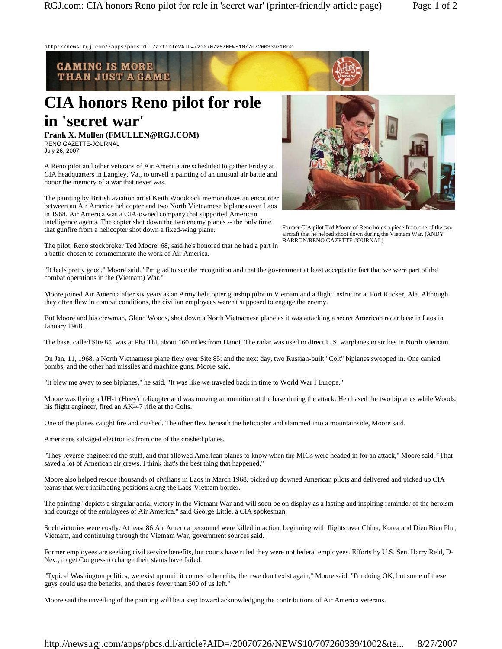http://news.rgj.com//apps/pbcs.dll/article?AID=/20070726/NEWS10/707260339/1002

**GAMING IS MORE** THAN JUST A GAME

## **CIA honors Reno pilot for role in 'secret war'**

**Frank X. Mullen (FMULLEN@RGJ.COM)**  RENO GAZETTE-JOURNAL July 26, 2007

A Reno pilot and other veterans of Air America are scheduled to gather Friday at CIA headquarters in Langley, Va., to unveil a painting of an unusual air battle and honor the memory of a war that never was.

The painting by British aviation artist Keith Woodcock memorializes an encounter between an Air America helicopter and two North Vietnamese biplanes over Laos in 1968. Air America was a CIA-owned company that supported American intelligence agents. The copter shot down the two enemy planes -- the only time that gunfire from a helicopter shot down a fixed-wing plane.



Former CIA pilot Ted Moore of Reno holds a piece from one of the two aircraft that he helped shoot down during the Vietnam War. (ANDY BARRON/RENO GAZETTE-JOURNAL)

The pilot, Reno stockbroker Ted Moore, 68, said he's honored that he had a part in a battle chosen to commemorate the work of Air America.

"It feels pretty good," Moore said. "I'm glad to see the recognition and that the government at least accepts the fact that we were part of the combat operations in the (Vietnam) War."

Moore joined Air America after six years as an Army helicopter gunship pilot in Vietnam and a flight instructor at Fort Rucker, Ala. Although they often flew in combat conditions, the civilian employees weren't supposed to engage the enemy.

But Moore and his crewman, Glenn Woods, shot down a North Vietnamese plane as it was attacking a secret American radar base in Laos in January 1968.

The base, called Site 85, was at Pha Thi, about 160 miles from Hanoi. The radar was used to direct U.S. warplanes to strikes in North Vietnam.

On Jan. 11, 1968, a North Vietnamese plane flew over Site 85; and the next day, two Russian-built "Colt" biplanes swooped in. One carried bombs, and the other had missiles and machine guns, Moore said.

"It blew me away to see biplanes," he said. "It was like we traveled back in time to World War I Europe."

Moore was flying a UH-1 (Huey) helicopter and was moving ammunition at the base during the attack. He chased the two biplanes while Woods, his flight engineer, fired an AK-47 rifle at the Colts.

One of the planes caught fire and crashed. The other flew beneath the helicopter and slammed into a mountainside, Moore said.

Americans salvaged electronics from one of the crashed planes.

"They reverse-engineered the stuff, and that allowed American planes to know when the MIGs were headed in for an attack," Moore said. "That saved a lot of American air crews. I think that's the best thing that happened."

Moore also helped rescue thousands of civilians in Laos in March 1968, picked up downed American pilots and delivered and picked up CIA teams that were infiltrating positions along the Laos-Vietnam border.

The painting "depicts a singular aerial victory in the Vietnam War and will soon be on display as a lasting and inspiring reminder of the heroism and courage of the employees of Air America," said George Little, a CIA spokesman.

Such victories were costly. At least 86 Air America personnel were killed in action, beginning with flights over China, Korea and Dien Bien Phu, Vietnam, and continuing through the Vietnam War, government sources said.

Former employees are seeking civil service benefits, but courts have ruled they were not federal employees. Efforts by U.S. Sen. Harry Reid, D-Nev., to get Congress to change their status have failed.

"Typical Washington politics, we exist up until it comes to benefits, then we don't exist again," Moore said. "I'm doing OK, but some of these guys could use the benefits, and there's fewer than 500 of us left."

Moore said the unveiling of the painting will be a step toward acknowledging the contributions of Air America veterans.